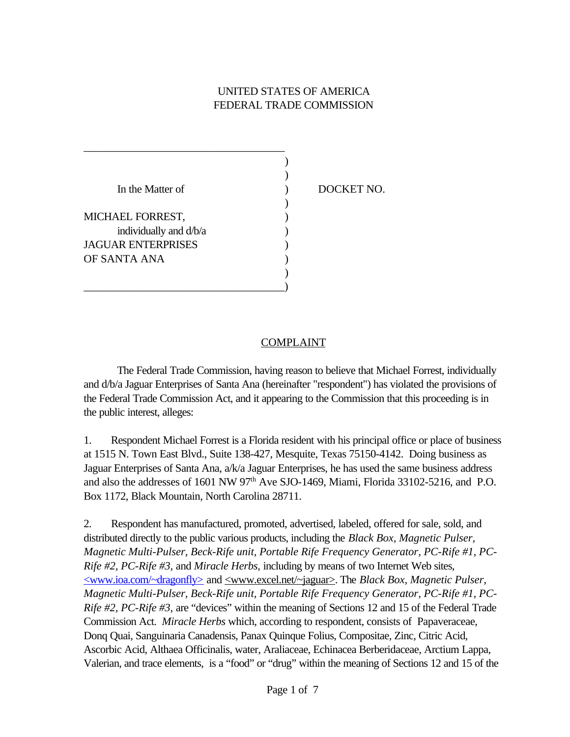## UNITED STATES OF AMERICA FEDERAL TRADE COMMISSION

| In the Matter of       |  |
|------------------------|--|
|                        |  |
| MICHAEL FORREST,       |  |
| individually and d/b/a |  |
| JAGUAR ENTERPRISES     |  |
| OF SANTA ANA           |  |
|                        |  |
|                        |  |

DOCKET NO.

#### **COMPLAINT**

The Federal Trade Commission, having reason to believe that Michael Forrest, individually and d/b/a Jaguar Enterprises of Santa Ana (hereinafter "respondent") has violated the provisions of the Federal Trade Commission Act, and it appearing to the Commission that this proceeding is in the public interest, alleges:

1. Respondent Michael Forrest is a Florida resident with his principal office or place of business at 1515 N. Town East Blvd., Suite 138-427, Mesquite, Texas 75150-4142. Doing business as Jaguar Enterprises of Santa Ana, a/k/a Jaguar Enterprises, he has used the same business address and also the addresses of 1601 NW  $97<sup>th</sup>$  Ave SJO-1469, Miami, Florida 33102-5216, and P.O. Box 1172, Black Mountain, North Carolina 28711.

2. Respondent has manufactured, promoted, advertised, labeled, offered for sale, sold, and distributed directly to the public various products, including the *Black Box, Magnetic Pulser, Magnetic Multi-Pulser, Beck-Rife unit, Portable Rife Frequency Generator, PC-Rife #1, PC-Rife #2, PC-Rife #3,* and *Miracle Herbs,* including by means of two Internet Web sites, <www.ioa.com/~dragonfly> and <www.excel.net/~jaguar>. The *Black Box, Magnetic Pulser, Magnetic Multi-Pulser, Beck-Rife unit, Portable Rife Frequency Generator, PC-Rife #1, PC-Rife #2, PC-Rife #3,* are "devices" within the meaning of Sections 12 and 15 of the Federal Trade Commission Act. *Miracle Herbs* which, according to respondent, consists of Papaveraceae, Donq Quai, Sanguinaria Canadensis, Panax Quinque Folius, Compositae, Zinc, Citric Acid, Ascorbic Acid, Althaea Officinalis, water, Araliaceae, Echinacea Berberidaceae, Arctium Lappa, Valerian, and trace elements, is a "food" or "drug" within the meaning of Sections 12 and 15 of the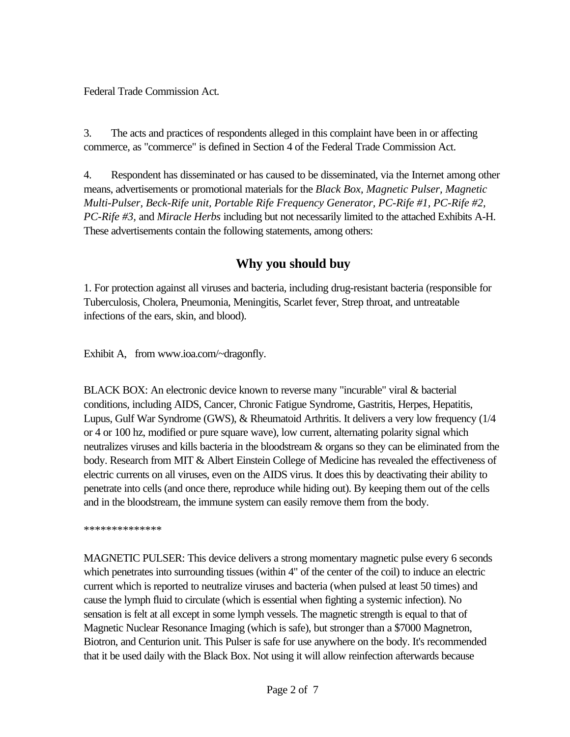Federal Trade Commission Act.

3. The acts and practices of respondents alleged in this complaint have been in or affecting commerce, as "commerce" is defined in Section 4 of the Federal Trade Commission Act.

4. Respondent has disseminated or has caused to be disseminated, via the Internet among other means, advertisements or promotional materials for the *Black Box, Magnetic Pulser, Magnetic Multi-Pulser, Beck-Rife unit, Portable Rife Frequency Generator, PC-Rife #1, PC-Rife #2, PC-Rife #3,* and *Miracle Herbs* including but not necessarily limited to the attached Exhibits A-H. These advertisements contain the following statements, among others:

# **Why you should buy**

1. For protection against all viruses and bacteria, including drug-resistant bacteria (responsible for Tuberculosis, Cholera, Pneumonia, Meningitis, Scarlet fever, Strep throat, and untreatable infections of the ears, skin, and blood).

Exhibit A, from www.ioa.com/~dragonfly.

BLACK BOX: An electronic device known to reverse many "incurable" viral & bacterial conditions, including AIDS, Cancer, Chronic Fatigue Syndrome, Gastritis, Herpes, Hepatitis, Lupus, Gulf War Syndrome (GWS), & Rheumatoid Arthritis. It delivers a very low frequency (1/4 or 4 or 100 hz, modified or pure square wave), low current, alternating polarity signal which neutralizes viruses and kills bacteria in the bloodstream & organs so they can be eliminated from the body. Research from MIT & Albert Einstein College of Medicine has revealed the effectiveness of electric currents on all viruses, even on the AIDS virus. It does this by deactivating their ability to penetrate into cells (and once there, reproduce while hiding out). By keeping them out of the cells and in the bloodstream, the immune system can easily remove them from the body.

\*\*\*\*\*\*\*\*\*\*\*\*\*\*

MAGNETIC PULSER: This device delivers a strong momentary magnetic pulse every 6 seconds which penetrates into surrounding tissues (within 4" of the center of the coil) to induce an electric current which is reported to neutralize viruses and bacteria (when pulsed at least 50 times) and cause the lymph fluid to circulate (which is essential when fighting a systemic infection). No sensation is felt at all except in some lymph vessels. The magnetic strength is equal to that of Magnetic Nuclear Resonance Imaging (which is safe), but stronger than a \$7000 Magnetron, Biotron, and Centurion unit. This Pulser is safe for use anywhere on the body. It's recommended that it be used daily with the Black Box. Not using it will allow reinfection afterwards because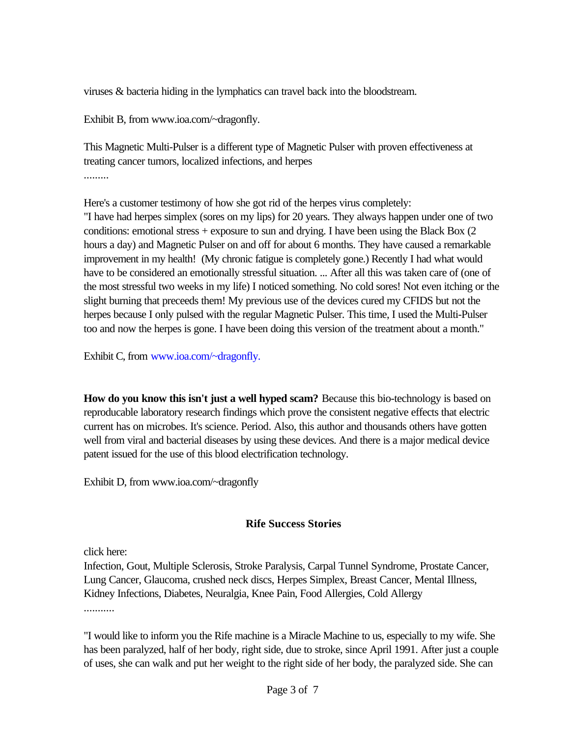viruses & bacteria hiding in the lymphatics can travel back into the bloodstream.

Exhibit B, from www.ioa.com/~dragonfly.

This Magnetic Multi-Pulser is a different type of Magnetic Pulser with proven effectiveness at treating cancer tumors, localized infections, and herpes .........

Here's a customer testimony of how she got rid of the herpes virus completely: "I have had herpes simplex (sores on my lips) for 20 years. They always happen under one of two conditions: emotional stress  $+$  exposure to sun and drying. I have been using the Black Box (2) hours a day) and Magnetic Pulser on and off for about 6 months. They have caused a remarkable improvement in my health! (My chronic fatigue is completely gone.) Recently I had what would have to be considered an emotionally stressful situation. ... After all this was taken care of (one of the most stressful two weeks in my life) I noticed something. No cold sores! Not even itching or the slight burning that preceeds them! My previous use of the devices cured my CFIDS but not the herpes because I only pulsed with the regular Magnetic Pulser. This time, I used the Multi-Pulser too and now the herpes is gone. I have been doing this version of the treatment about a month."

Exhibit C, from www.ioa.com/~dragonfly.

**How do you know this isn't just a well hyped scam?** Because this bio-technology is based on reproducable laboratory research findings which prove the consistent negative effects that electric current has on microbes. It's science. Period. Also, this author and thousands others have gotten well from viral and bacterial diseases by using these devices. And there is a major medical device patent issued for the use of this blood electrification technology.

Exhibit D, from www.ioa.com/~dragonfly

## **Rife Success Stories**

click here:

Infection, Gout, Multiple Sclerosis, Stroke Paralysis, Carpal Tunnel Syndrome, Prostate Cancer, Lung Cancer, Glaucoma, crushed neck discs, Herpes Simplex, Breast Cancer, Mental Illness, Kidney Infections, Diabetes, Neuralgia, Knee Pain, Food Allergies, Cold Allergy ...........

"I would like to inform you the Rife machine is a Miracle Machine to us, especially to my wife. She has been paralyzed, half of her body, right side, due to stroke, since April 1991. After just a couple of uses, she can walk and put her weight to the right side of her body, the paralyzed side. She can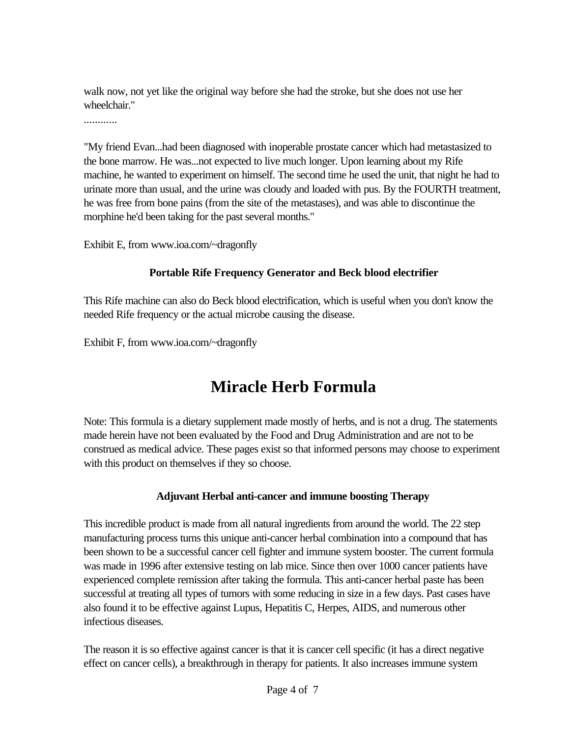walk now, not yet like the original way before she had the stroke, but she does not use her wheelchair."

............

"My friend Evan...had been diagnosed with inoperable prostate cancer which had metastasized to the bone marrow. He was...not expected to live much longer. Upon learning about my Rife machine, he wanted to experiment on himself. The second time he used the unit, that night he had to urinate more than usual, and the urine was cloudy and loaded with pus. By the FOURTH treatment, he was free from bone pains (from the site of the metastases), and was able to discontinue the morphine he'd been taking for the past several months."

Exhibit E, from www.ioa.com/~dragonfly

#### **Portable Rife Frequency Generator and Beck blood electrifier**

This Rife machine can also do Beck blood electrification, which is useful when you don't know the needed Rife frequency or the actual microbe causing the disease.

Exhibit F, from www.ioa.com/~dragonfly

# **Miracle Herb Formula**

Note: This formula is a dietary supplement made mostly of herbs, and is not a drug. The statements made herein have not been evaluated by the Food and Drug Administration and are not to be construed as medical advice. These pages exist so that informed persons may choose to experiment with this product on themselves if they so choose.

## **Adjuvant Herbal anti-cancer and immune boosting Therapy**

This incredible product is made from all natural ingredients from around the world. The 22 step manufacturing process turns this unique anti-cancer herbal combination into a compound that has been shown to be a successful cancer cell fighter and immune system booster. The current formula was made in 1996 after extensive testing on lab mice. Since then over 1000 cancer patients have experienced complete remission after taking the formula. This anti-cancer herbal paste has been successful at treating all types of tumors with some reducing in size in a few days. Past cases have also found it to be effective against Lupus, Hepatitis C, Herpes, AIDS, and numerous other infectious diseases.

The reason it is so effective against cancer is that it is cancer cell specific (it has a direct negative effect on cancer cells), a breakthrough in therapy for patients. It also increases immune system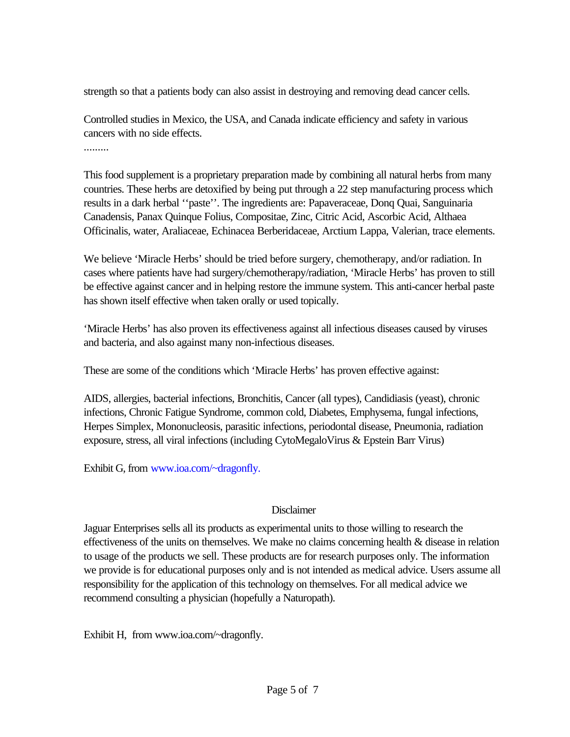strength so that a patients body can also assist in destroying and removing dead cancer cells.

Controlled studies in Mexico, the USA, and Canada indicate efficiency and safety in various cancers with no side effects.

.........

This food supplement is a proprietary preparation made by combining all natural herbs from many countries. These herbs are detoxified by being put through a 22 step manufacturing process which results in a dark herbal ''paste''. The ingredients are: Papaveraceae, Donq Quai, Sanguinaria Canadensis, Panax Quinque Folius, Compositae, Zinc, Citric Acid, Ascorbic Acid, Althaea Officinalis, water, Araliaceae, Echinacea Berberidaceae, Arctium Lappa, Valerian, trace elements.

We believe 'Miracle Herbs' should be tried before surgery, chemotherapy, and/or radiation. In cases where patients have had surgery/chemotherapy/radiation, 'Miracle Herbs' has proven to still be effective against cancer and in helping restore the immune system. This anti-cancer herbal paste has shown itself effective when taken orally or used topically.

'Miracle Herbs' has also proven its effectiveness against all infectious diseases caused by viruses and bacteria, and also against many non-infectious diseases.

These are some of the conditions which 'Miracle Herbs' has proven effective against:

AIDS, allergies, bacterial infections, Bronchitis, Cancer (all types), Candidiasis (yeast), chronic infections, Chronic Fatigue Syndrome, common cold, Diabetes, Emphysema, fungal infections, Herpes Simplex, Mononucleosis, parasitic infections, periodontal disease, Pneumonia, radiation exposure, stress, all viral infections (including CytoMegaloVirus & Epstein Barr Virus)

Exhibit G, from www.ioa.com/~dragonfly.

#### Disclaimer

Jaguar Enterprises sells all its products as experimental units to those willing to research the effectiveness of the units on themselves. We make no claims concerning health & disease in relation to usage of the products we sell. These products are for research purposes only. The information we provide is for educational purposes only and is not intended as medical advice. Users assume all responsibility for the application of this technology on themselves. For all medical advice we recommend consulting a physician (hopefully a Naturopath).

Exhibit H, from www.ioa.com/~dragonfly.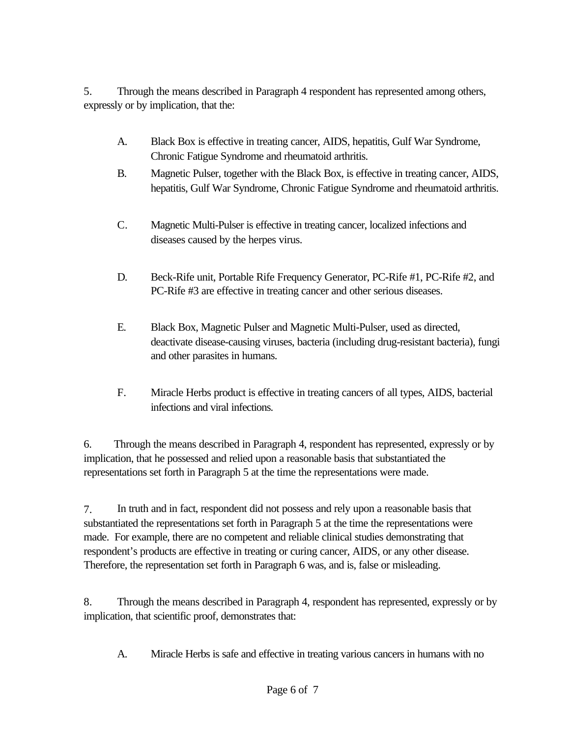5. Through the means described in Paragraph 4 respondent has represented among others, expressly or by implication, that the:

- A. Black Box is effective in treating cancer, AIDS, hepatitis, Gulf War Syndrome, Chronic Fatigue Syndrome and rheumatoid arthritis.
- B. Magnetic Pulser, together with the Black Box, is effective in treating cancer, AIDS, hepatitis, Gulf War Syndrome, Chronic Fatigue Syndrome and rheumatoid arthritis.
- C. Magnetic Multi-Pulser is effective in treating cancer, localized infections and diseases caused by the herpes virus.
- D. Beck-Rife unit, Portable Rife Frequency Generator, PC-Rife #1, PC-Rife #2, and PC-Rife #3 are effective in treating cancer and other serious diseases.
- E. Black Box, Magnetic Pulser and Magnetic Multi-Pulser, used as directed, deactivate disease-causing viruses, bacteria (including drug-resistant bacteria), fungi and other parasites in humans.
- F. Miracle Herbs product is effective in treating cancers of all types, AIDS, bacterial infections and viral infections.

6. Through the means described in Paragraph 4, respondent has represented, expressly or by implication, that he possessed and relied upon a reasonable basis that substantiated the representations set forth in Paragraph 5 at the time the representations were made.

7. In truth and in fact, respondent did not possess and rely upon a reasonable basis that substantiated the representations set forth in Paragraph 5 at the time the representations were made. For example, there are no competent and reliable clinical studies demonstrating that respondent's products are effective in treating or curing cancer, AIDS, or any other disease. Therefore, the representation set forth in Paragraph 6 was, and is, false or misleading.

8. Through the means described in Paragraph 4, respondent has represented, expressly or by implication, that scientific proof, demonstrates that:

A. Miracle Herbs is safe and effective in treating various cancers in humans with no